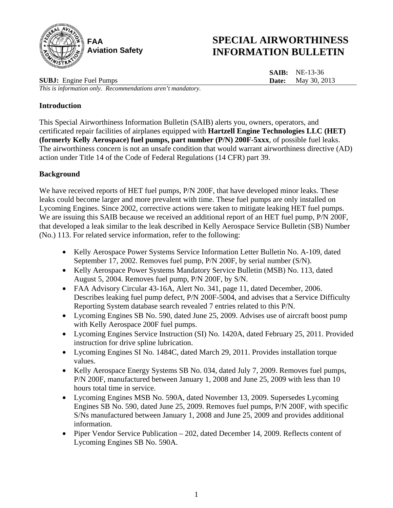

# **SPECIAL AIRWORTHINESS INFORMATION BULLETIN**

**SAIB:** NE-13-36 **Date:** May 30, 2013

**SUBJ:** Engine Fuel Pumps

*This is information only. Recommendations aren't mandatory.*

# **Introduction**

This Special Airworthiness Information Bulletin (SAIB) alerts you, owners, operators, and certificated repair facilities of airplanes equipped with **Hartzell Engine Technologies LLC (HET) (formerly Kelly Aerospace) fuel pumps, part number (P/N) 200F-5xxx**, of possible fuel leaks. The airworthiness concern is not an unsafe condition that would warrant airworthiness directive (AD) action under Title 14 of the Code of Federal Regulations (14 CFR) part 39.

# **Background**

We have received reports of HET fuel pumps, P/N 200F, that have developed minor leaks. These leaks could become larger and more prevalent with time. These fuel pumps are only installed on Lycoming Engines. Since 2002, corrective actions were taken to mitigate leaking HET fuel pumps. We are issuing this SAIB because we received an additional report of an HET fuel pump,  $P/N$  200F, that developed a leak similar to the leak described in Kelly Aerospace Service Bulletin (SB) Number (No.) 113. For related service information, refer to the following:

- Kelly Aerospace Power Systems Service Information Letter Bulletin No. A-109, dated September 17, 2002. Removes fuel pump, P/N 200F, by serial number (S/N).
- Kelly Aerospace Power Systems Mandatory Service Bulletin (MSB) No. 113, dated August 5, 2004. Removes fuel pump, P/N 200F, by S/N.
- FAA Advisory Circular 43-16A, Alert No. 341, page 11, dated December, 2006. Describes leaking fuel pump defect, P/N 200F-5004, and advises that a Service Difficulty Reporting System database search revealed 7 entries related to this P/N.
- Lycoming Engines SB No. 590, dated June 25, 2009. Advises use of aircraft boost pump with Kelly Aerospace 200F fuel pumps.
- Lycoming Engines Service Instruction (SI) No. 1420A, dated February 25, 2011. Provided instruction for drive spline lubrication.
- Lycoming Engines SI No. 1484C, dated March 29, 2011. Provides installation torque values.
- Kelly Aerospace Energy Systems SB No. 034, dated July 7, 2009. Removes fuel pumps, P/N 200F, manufactured between January 1, 2008 and June 25, 2009 with less than 10 hours total time in service.
- Lycoming Engines MSB No. 590A, dated November 13, 2009. Supersedes Lycoming Engines SB No. 590, dated June 25, 2009. Removes fuel pumps, P/N 200F, with specific S/Ns manufactured between January 1, 2008 and June 25, 2009 and provides additional information.
- Piper Vendor Service Publication 202, dated December 14, 2009. Reflects content of Lycoming Engines SB No. 590A.